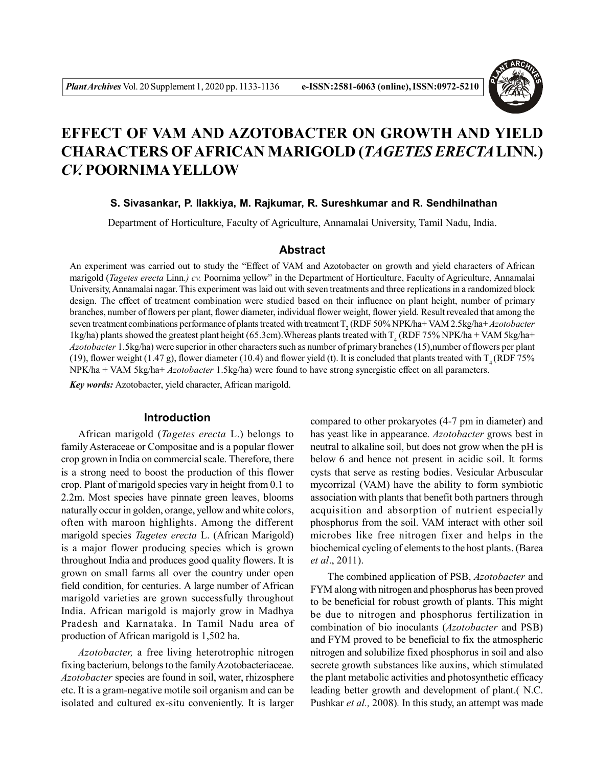

# **EFFECT OF VAM AND AZOTOBACTER ON GROWTH AND YIELD CHARACTERS OFAFRICAN MARIGOLD (***TAGETES ERECTA***LINN***.***)** *CV.* **POORNIMAYELLOW**

#### **S. Sivasankar, P. Ilakkiya, M. Rajkumar, R. Sureshkumar and R. Sendhilnathan**

Department of Horticulture, Faculty of Agriculture, Annamalai University, Tamil Nadu, India.

### **Abstract**

An experiment was carried out to study the "Effect of VAM and Azotobacter on growth and yield characters of African marigold (*Tagetes erecta* Linn*.) cv.* Poornima yellow" in the Department of Horticulture, Faculty of Agriculture, Annamalai University, Annamalai nagar. This experiment was laid out with seven treatments and three replications in a randomized block design. The effect of treatment combination were studied based on their influence on plant height, number of primary branches, number of flowers per plant, flower diameter, individual flower weight, flower yield. Result revealed that among the seven treatment combinations performance of plants treated with treatment T<sub>2</sub> (RDF 50% NPK/ha+ VAM 2.5kg/ha+ *Azotobacter* 1kg/ha) plants showed the greatest plant height (65.3cm). Whereas plants treated with  $T_4$  (RDF 75% NPK/ha + VAM 5kg/ha+ *Azotobacter* 1.5kg/ha) were superior in other characters such as number of primary branches (15),number of flowers per plant (19), flower weight (1.47 g), flower diameter (10.4) and flower yield (t). It is concluded that plants treated with  $T_A (RDF 75\%$ NPK/ha + VAM 5kg/ha+ *Azotobacter* 1.5kg/ha) were found to have strong synergistic effect on all parameters.

*Key words:* Azotobacter, yield character, African marigold.

#### **Introduction**

African marigold (*Tagetes erecta* L.) belongs to family Asteraceae or Compositae and is a popular flower crop grown in India on commercial scale. Therefore, there is a strong need to boost the production of this flower crop. Plant of marigold species vary in height from 0.1 to 2.2m. Most species have pinnate green leaves, blooms naturally occur in golden, orange, yellow and white colors, often with maroon highlights. Among the different marigold species *Tagetes erecta* L. (African Marigold) is a major flower producing species which is grown throughout India and produces good quality flowers. It is grown on small farms all over the country under open field condition, for centuries. A large number of African marigold varieties are grown successfully throughout India. African marigold is majorly grow in Madhya Pradesh and Karnataka. In Tamil Nadu area of production of African marigold is 1,502 ha.

*Azotobacter,* a free living heterotrophic nitrogen fixing bacterium, belongs to the family Azotobacteriaceae. *Azotobacter* species are found in soil, water, rhizosphere etc. It is a gram-negative motile soil organism and can be isolated and cultured ex-situ conveniently. It is larger compared to other prokaryotes (4-7 pm in diameter) and has yeast like in appearance. *Azotobacter* grows best in neutral to alkaline soil, but does not grow when the pH is below 6 and hence not present in acidic soil. It forms cysts that serve as resting bodies. Vesicular Arbuscular mycorrizal (VAM) have the ability to form symbiotic association with plants that benefit both partners through acquisition and absorption of nutrient especially phosphorus from the soil. VAM interact with other soil microbes like free nitrogen fixer and helps in the biochemical cycling of elements to the host plants. (Barea *et al*., 2011).

The combined application of PSB, *Azotobacter* and FYM along with nitrogen and phosphorus has been proved to be beneficial for robust growth of plants. This might be due to nitrogen and phosphorus fertilization in combination of bio inoculants (*Azotobacter* and PSB) and FYM proved to be beneficial to fix the atmospheric nitrogen and solubilize fixed phosphorus in soil and also secrete growth substances like auxins, which stimulated the plant metabolic activities and photosynthetic efficacy leading better growth and development of plant.( N.C. Pushkar *et al.,* 2008)*.* In this study, an attempt was made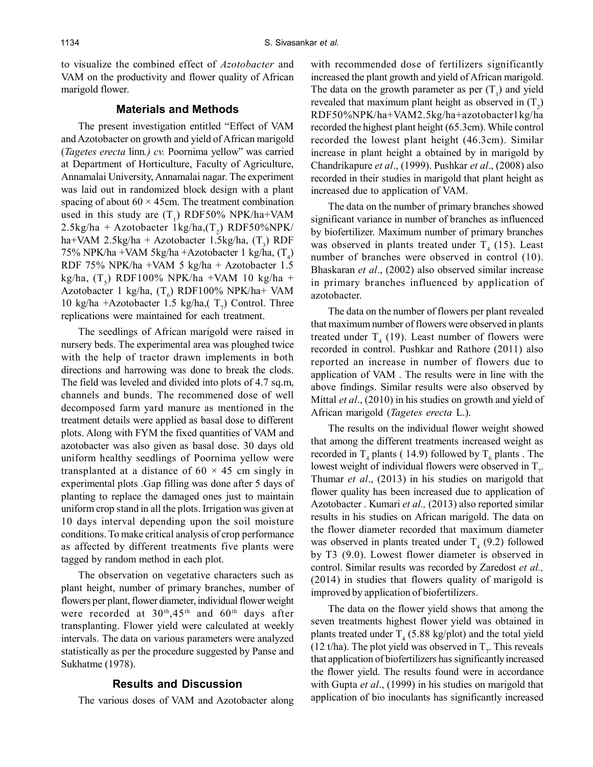to visualize the combined effect of *Azotobacter* and VAM on the productivity and flower quality of African marigold flower.

#### **Materials and Methods**

The present investigation entitled "Effect of VAM and Azotobacter on growth and yield of African marigold (*Tagetes erecta* linn*.) cv.* Poornima yellow" was carried at Department of Horticulture, Faculty of Agriculture, Annamalai University, Annamalai nagar. The experiment was laid out in randomized block design with a plant spacing of about  $60 \times 45$ cm. The treatment combination used in this study are  $(T_1)$  RDF50% NPK/ha+VAM  $2.5 \text{kg/ha} + \text{Azotobacter } 1 \text{kg/ha}$ ,  $(T_2)$  RDF50%NPK/ ha+VAM 2.5kg/ha + Azotobacter 1.5kg/ha,  $(T_3)$  RDF 75% NPK/ha +VAM 5kg/ha +Azotobacter 1 kg/ha,  $(T_4)$ RDF 75% NPK/ha +VAM 5 kg/ha + Azotobacter 1.5 kg/ha,  $(T<sub>5</sub>)$  RDF100% NPK/ha +VAM 10 kg/ha + Azotobacter 1 kg/ha,  $(T_6)$  RDF100% NPK/ha+ VAM 10 kg/ha +Azotobacter 1.5 kg/ha,  $(T_7)$  Control. Three replications were maintained for each treatment.

The seedlings of African marigold were raised in nursery beds. The experimental area was ploughed twice with the help of tractor drawn implements in both directions and harrowing was done to break the clods. The field was leveled and divided into plots of 4.7 sq.m, channels and bunds. The recommened dose of well decomposed farm yard manure as mentioned in the treatment details were applied as basal dose to different plots. Along with FYM the fixed quantities of VAM and azotobacter was also given as basal dose. 30 days old uniform healthy seedlings of Poornima yellow were transplanted at a distance of  $60 \times 45$  cm singly in experimental plots .Gap filling was done after 5 days of planting to replace the damaged ones just to maintain uniform crop stand in all the plots. Irrigation was given at 10 days interval depending upon the soil moisture conditions. To make critical analysis of crop performance as affected by different treatments five plants were tagged by random method in each plot.

The observation on vegetative characters such as plant height, number of primary branches, number of flowers per plant, flower diameter, individual flower weight were recorded at  $30<sup>th</sup>, 45<sup>th</sup>$  and  $60<sup>th</sup>$  days after transplanting. Flower yield were calculated at weekly intervals. The data on various parameters were analyzed statistically as per the procedure suggested by Panse and Sukhatme (1978).

## **Results and Discussion**

The various doses of VAM and Azotobacter along

with recommended dose of fertilizers significantly increased the plant growth and yield of African marigold. The data on the growth parameter as per  $(T_1)$  and yield revealed that maximum plant height as observed in  $(T_2)$ RDF50%NPK/ha+VAM2.5kg/ha+azotobacter1kg/ha recorded the highest plant height (65.3cm). While control recorded the lowest plant height (46.3cm). Similar increase in plant height a obtained by in marigold by Chandrikapure *et al*., (1999). Pushkar *et al*., (2008) also recorded in their studies in marigold that plant height as increased due to application of VAM.

The data on the number of primary branches showed significant variance in number of branches as influenced by biofertilizer. Maximum number of primary branches was observed in plants treated under  $T_4$  (15). Least number of branches were observed in control (10). Bhaskaran *et al*., (2002) also observed similar increase in primary branches influenced by application of azotobacter.

The data on the number of flowers per plant revealed that maximum number of flowers were observed in plants treated under  $T_4$  (19). Least number of flowers were recorded in control. Pushkar and Rathore (2011) also reported an increase in number of flowers due to application of VAM . The results were in line with the above findings. Similar results were also observed by Mittal *et al*., (2010) in his studies on growth and yield of African marigold (*Tagetes erecta* L.).

The results on the individual flower weight showed that among the different treatments increased weight as recorded in  $T_4$  plants (14.9) followed by  $T_6$  plants . The lowest weight of individual flowers were observed in  $T_{\tau}$ . Thumar *et al*., (2013) in his studies on marigold that flower quality has been increased due to application of Azotobacter . Kumari *et al.,* (2013) also reported similar results in his studies on African marigold. The data on the flower diameter recorded that maximum diameter was observed in plants treated under  $T_4$  (9.2) followed by T3 (9.0). Lowest flower diameter is observed in control. Similar results was recorded by Zaredost *et al.,* (2014) in studies that flowers quality of marigold is improved by application of biofertilizers.

The data on the flower yield shows that among the seven treatments highest flower yield was obtained in plants treated under  $T_4$  (5.88 kg/plot) and the total yield (12 t/ha). The plot yield was observed in  $T_{\tau}$ . This reveals that application of biofertilizers has significantly increased the flower yield. The results found were in accordance with Gupta *et al*., (1999) in his studies on marigold that application of bio inoculants has significantly increased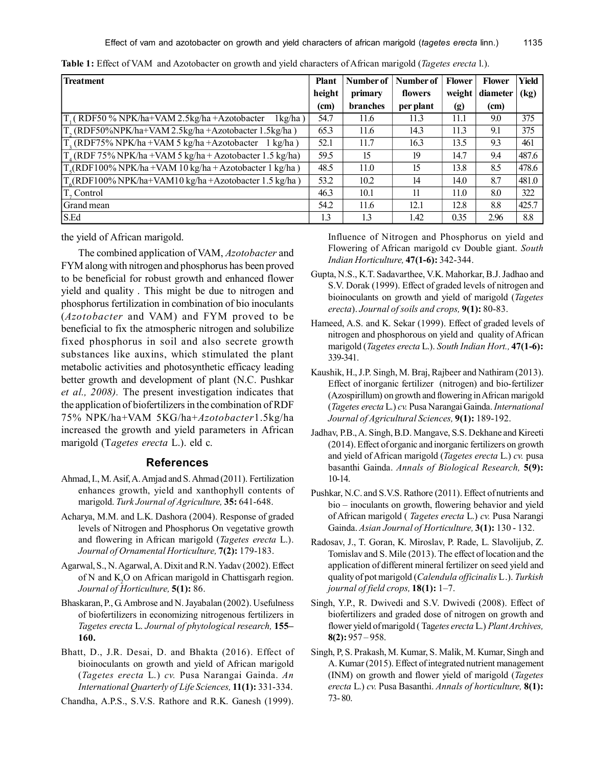| <b>Treatment</b>                                                               | <b>Plant</b> | Number of | Number of | <b>Flower</b> | <b>Flower</b> | Yield |
|--------------------------------------------------------------------------------|--------------|-----------|-----------|---------------|---------------|-------|
|                                                                                | height       | primary   | flowers   | weight        | diameter      | (kg)  |
|                                                                                | (cm)         | branches  | per plant | (g)           | (cm)          |       |
| T <sub>1</sub> (RDF50 % NPK/ha+VAM 2.5kg/ha +Azotobacter<br>$1 \text{kg/ha}$ ) | 54.7         | 11.6      | 11.3      | 11.1          | 9.0           | 375   |
| T <sub>2</sub> (RDF50%NPK/ha+VAM 2.5kg/ha +Azotobacter 1.5kg/ha)               | 65.3         | 11.6      | 14.3      | 11.3          | 9.1           | 375   |
| $T_{\gamma}$ (RDF75% NPK/ha +VAM 5 kg/ha +Azotobacter<br>$1 \text{ kg/ha}$ )   | 52.1         | 11.7      | 16.3      | 13.5          | 9.3           | 461   |
| $T_A$ (RDF 75% NPK/ha +VAM 5 kg/ha + Azotobacter 1.5 kg/ha)                    | 59.5         | 15        | 19        | 14.7          | 9.4           | 487.6 |
| $T_c(RDF100\% NPK/ha+VAM 10 kg/ha+Azotobacter 1 kg/ha)$                        | 48.5         | 11.0      | 15        | 13.8          | 8.5           | 478.6 |
| $T(RDF100\% NPK/ha+VAM10 kg/ha+Azotobacter 1.5 kg/ha)$                         | 53.2         | 10.2      | 14        | 14.0          | 8.7           | 481.0 |
| T, Control                                                                     | 46.3         | 10.1      | 11        | 11.0          | 8.0           | 322   |
| Grand mean                                                                     | 54.2         | 11.6      | 12.1      | 12.8          | 8.8           | 425.7 |
| S.Ed                                                                           | 1.3          | 1.3       | 1.42      | 0.35          | 2.96          | 8.8   |

**Table 1:** Effect of VAM and Azotobacter on growth and yield characters of African marigold (*Tagetes erecta* l.).

the yield of African marigold.

The combined application of VAM, *Azotobacter* and FYM along with nitrogen and phosphorus has been proved to be beneficial for robust growth and enhanced flower yield and quality . This might be due to nitrogen and phosphorus fertilization in combination of bio inoculants (*Azotobacter* and VAM) and FYM proved to be beneficial to fix the atmospheric nitrogen and solubilize fixed phosphorus in soil and also secrete growth substances like auxins, which stimulated the plant metabolic activities and photosynthetic efficacy leading better growth and development of plant (N.C. Pushkar *et al., 2008).* The present investigation indicates that the application of biofertilizers in the combination of RDF 75% NPK/ha+VAM 5KG/ha+*Azotobacter*1.5kg/ha increased the growth and yield parameters in African marigold (T*agetes erecta* L.). eld c.

# **References**

- Ahmad, I., M. Asif, A. Amjad and S. Ahmad (2011). Fertilization enhances growth, yield and xanthophyll contents of marigold. *Turk Journal of Agriculture,* **35:** 641-648.
- Acharya, M.M. and L.K. Dashora (2004). Response of graded levels of Nitrogen and Phosphorus On vegetative growth and flowering in African marigold (*Tagetes erecta* L.). *Journal of Ornamental Horticulture,* **7(2):** 179-183.
- Agarwal, S., N. Agarwal, A. Dixit and R.N. Yadav (2002). Effect of N and K2O on African marigold in Chattisgarh region. *Journal of Horticulture,* **5(1):** 86.
- Bhaskaran, P., G. Ambrose and N. Jayabalan (2002). Usefulness of biofertilizers in economizing nitrogenous fertilizers in *Tagetes erecta* L. *Journal of phytological research,* **155– 160.**
- Bhatt, D., J.R. Desai, D. and Bhakta (2016). Effect of bioinoculants on growth and yield of African marigold (*Tagetes erecta* L.) *cv.* Pusa Narangai Gainda. *An International Quarterly of Life Sciences,* **11(1):** 331-334.
- Chandha, A.P.S., S.V.S. Rathore and R.K. Ganesh (1999).

Influence of Nitrogen and Phosphorus on yield and Flowering of African marigold cv Double giant. *South Indian Horticulture,* **47(1-6):** 342-344.

- Gupta, N.S., K.T. Sadavarthee, V.K. Mahorkar, B.J. Jadhao and S.V. Dorak (1999). Effect of graded levels of nitrogen and bioinoculants on growth and yield of marigold (*Tagetes erecta*). *Journal of soils and crops,* **9(1):** 80-83.
- Hameed, A.S. and K. Sekar (1999). Effect of graded levels of nitrogen and phosphorous on yield and quality of African marigold (*Tagetes erecta* L.). *South Indian Hort.,* **47(1-6):** 339-341.
- Kaushik, H., J.P. Singh, M. Braj, Rajbeer and Nathiram (2013). Effect of inorganic fertilizer (nitrogen) and bio-fertilizer (Azospirillum) on growth and flowering in African marigold (*Tagetes erecta* L.) *cv.* Pusa Narangai Gainda. *International Journal of Agricultural Sciences,* **9(1):** 189-192.
- Jadhav, P.B., A. Singh, B.D. Mangave, S.S. Dekhane and Kireeti (2014). Effect of organic and inorganic fertilizers on growth and yield of African marigold (*Tagetes erecta* L.) *cv.* pusa basanthi Gainda. *Annals of Biological Research,* **5(9):** 10-14.
- Pushkar, N.C. and S.V.S. Rathore (2011). Effect of nutrients and bio – inoculants on growth, flowering behavior and yield of African marigold ( *Tagetes erecta* L.) *cv.* Pusa Narangi Gainda. *Asian Journal of Horticulture,* **3(1):** 130 - 132.
- Radosav, J., T. Goran, K. Miroslav, P. Rade, L. Slavolijub, Z. Tomislav and S. Mile (2013). The effect of location and the application of different mineral fertilizer on seed yield and quality of pot marigold (*Calendula officinalis* L .). *Turkish journal of field crops,* **18(1):** 1–7.
- Singh, Y.P., R. Dwivedi and S.V. Dwivedi (2008). Effect of biofertilizers and graded dose of nitrogen on growth and flower yield of marigold ( Tag*etes erecta* L.) *Plant Archives,* **8(2):** 957 – 958.
- Singh, P, S. Prakash, M. Kumar, S. Malik, M. Kumar, Singh and A. Kumar (2015). Effect of integrated nutrient management (INM) on growth and flower yield of marigold (*Tagetes erecta* L.) *cv.* Pusa Basanthi. *Annals of horticulture,* **8(1):** 73- 80.